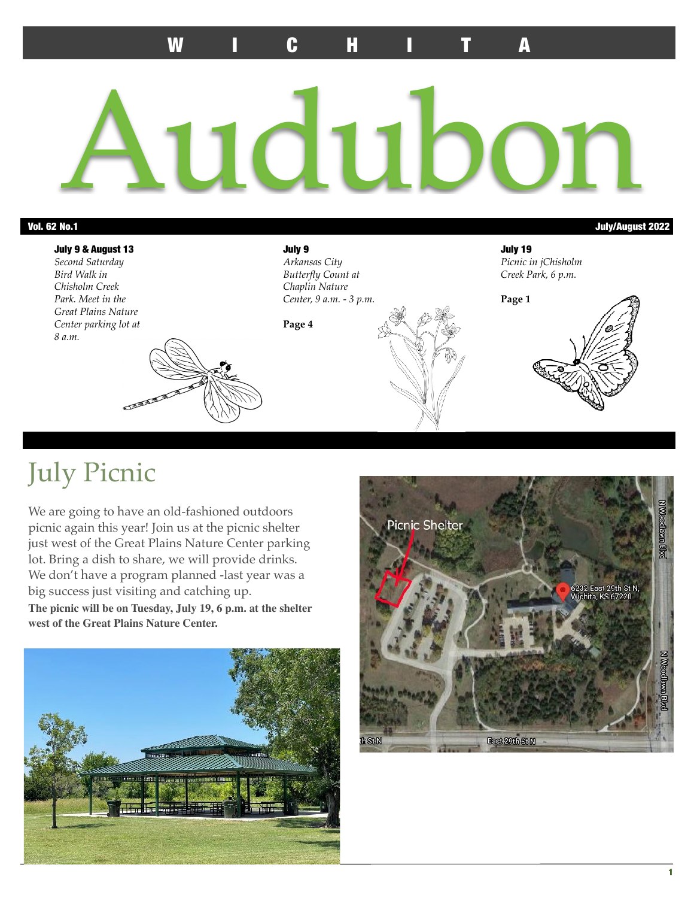# WICHITA

# Audubon

July 9 & August 13 *Second Saturday Bird Walk in Chisholm Creek Park. Meet in the Great Plains Nature Center parking lot at 8 a.m.*



July 9 *Arkansas City Butterfly Count at Chaplin Nature Center, 9 a.m. - 3 p.m.*

**Page 4**

July 19 *Picnic in jChisholm Creek Park, 6 p.m.*



**July/August 2022** 

# July Picnic

We are going to have an old-fashioned outdoors picnic again this year! Join us at the picnic shelter just west of the Great Plains Nature Center parking lot. Bring a dish to share, we will provide drinks. We don't have a program planned -last year was a big success just visiting and catching up.

**The picnic will be on Tuesday, July 19, 6 p.m. at the shelter west of the Great Plains Nature Center.** 



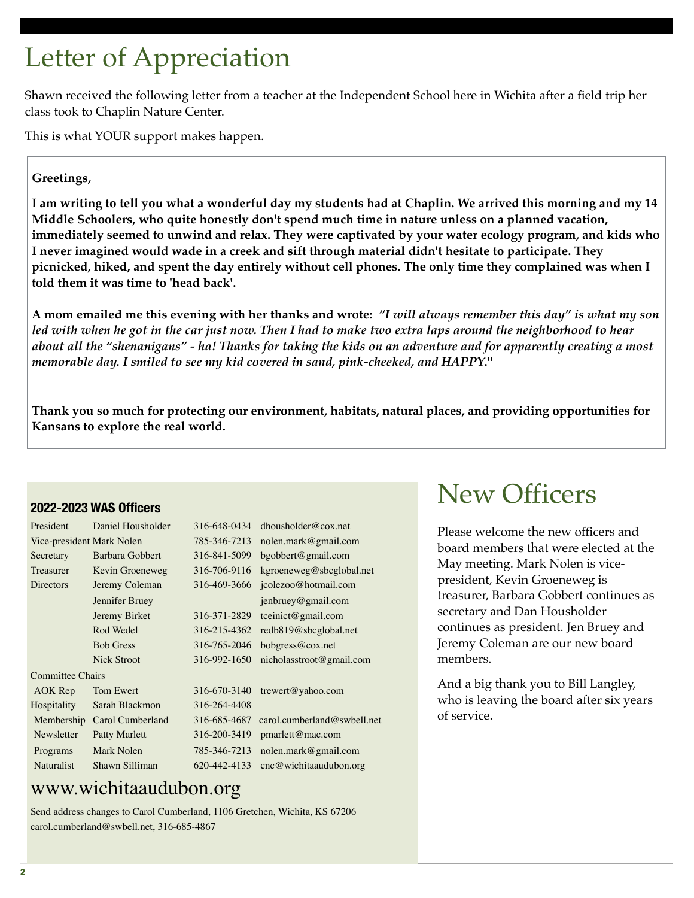# Letter of Appreciation

Shawn received the following letter from a teacher at the Independent School here in Wichita after a field trip her class took to Chaplin Nature Center.

This is what YOUR support makes happen.

### **Greetings,**

**I am writing to tell you what a wonderful day my students had at Chaplin. We arrived this morning and my 14 Middle Schoolers, who quite honestly don't spend much time in nature unless on a planned vacation, immediately seemed to unwind and relax. They were captivated by your water ecology program, and kids who I never imagined would wade in a creek and sift through material didn't hesitate to participate. They picnicked, hiked, and spent the day entirely without cell phones. The only time they complained was when I told them it was time to 'head back'.**

**A mom emailed me this evening with her thanks and wrote:** *"I will always remember this day" is what my son led with when he got in the car just now. Then I had to make two extra laps around the neighborhood to hear about all the "shenanigans" - ha! Thanks for taking the kids on an adventure and for apparently creating a most memorable day. I smiled to see my kid covered in sand, pink-cheeked, and HAPPY***."**

**Thank you so much for protecting our environment, habitats, natural places, and providing opportunities for Kansans to explore the real world.**

### **2022-2023 WAS Officers**

| President                                 | Daniel Housholder    | 316-648-0434 | dhousholder@cox.net        |
|-------------------------------------------|----------------------|--------------|----------------------------|
| 785-346-7213<br>Vice-president Mark Nolen |                      |              | nolen.mark@gmail.com       |
| Secretary                                 | Barbara Gobbert      | 316-841-5099 | bgobbert@gmail.com         |
| <b>Treasurer</b>                          | Kevin Groeneweg      | 316-706-9116 | kgroeneweg@sbcglobal.net   |
| <b>Directors</b>                          | Jeremy Coleman       | 316-469-3666 | jcolezoo@hotmail.com       |
|                                           | Jennifer Bruey       |              | jenbruey@gmail.com         |
|                                           | Jeremy Birket        | 316-371-2829 | tceinict@gmail.com         |
|                                           | Rod Wedel            | 316-215-4362 | redb819@sbcglobal.net      |
|                                           | <b>Bob Gress</b>     | 316-765-2046 | $b$ obgress@cox.net        |
|                                           | <b>Nick Stroot</b>   | 316-992-1650 | nicholasstroot@gmail.com   |
| <b>Committee Chairs</b>                   |                      |              |                            |
| AOK Rep                                   | <b>Tom Ewert</b>     | 316-670-3140 | trewert@yahoo.com          |
| Hospitality                               | Sarah Blackmon       | 316-264-4408 |                            |
| Membership                                | Carol Cumberland     | 316-685-4687 | card.cumberland@swbell.net |
| Newsletter                                | <b>Patty Marlett</b> | 316-200-3419 | pmarlett@mac.com           |
| Programs                                  | Mark Nolen           | 785-346-7213 | nolen.mark@gmail.com       |
| <b>Naturalist</b>                         | Shawn Silliman       | 620-442-4133 | cnc@wichitaaudubon.org     |
|                                           |                      |              |                            |

# New Officers

Please welcome the new officers and board members that were elected at the May meeting. Mark Nolen is vicepresident, Kevin Groeneweg is treasurer, Barbara Gobbert continues as secretary and Dan Housholder continues as president. Jen Bruey and Jeremy Coleman are our new board members.

And a big thank you to Bill Langley, who is leaving the board after six years of service.

### www.wichitaaudubon.org

Send address changes to Carol Cumberland, 1106 Gretchen, Wichita, KS 67206 carol.cumberland@swbell.net, 316-685-4867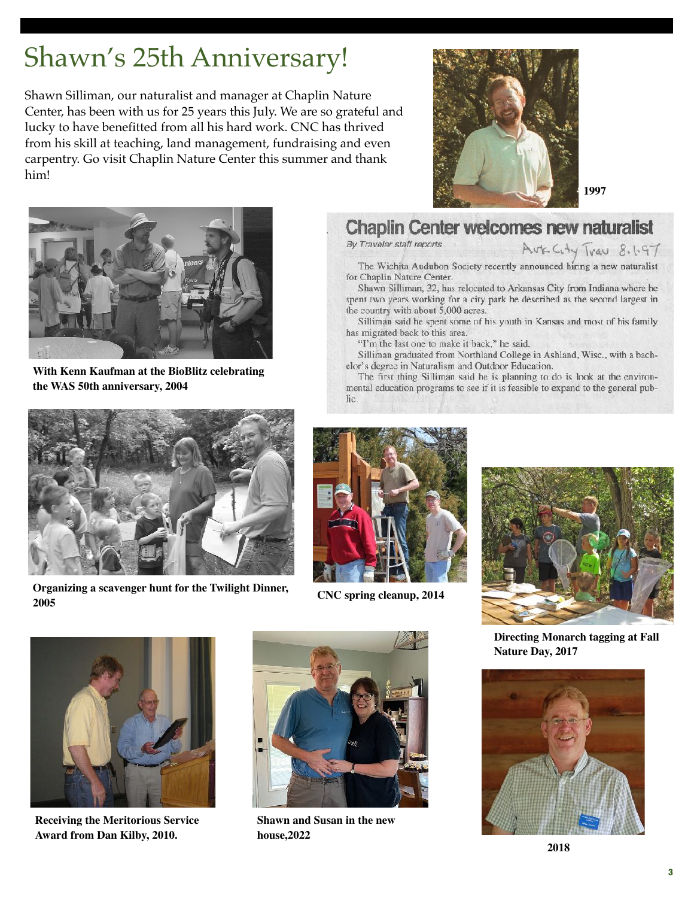# Shawn's 25th Anniversary!

Shawn Silliman, our naturalist and manager at Chaplin Nature Center, has been with us for 25 years this July. We are so grateful and lucky to have benefitted from all his hard work. CNC has thrived from his skill at teaching, land management, fundraising and even carpentry. Go visit Chaplin Nature Center this summer and thank him!



**1997**



**With Kenn Kaufman at the BioBlitz celebrating the WAS 50th anniversary, 2004**



**Organizing a scavenger hunt for the Twilight Dinner, 2005**



By Traveler staff reports

**CNC spring cleanup, 2014**





**Receiving the Meritorious Service Award from Dan Kilby, 2010.**



**Shawn and Susan in the new house,2022**

**Directing Monarch tagging at Fall Nature Day, 2017**



**2018**

**Chaplin Center welcomes new naturalist** Aut. City Trau 8.1.97

The Wichita Audubon Society recently announced hiring a new naturalist for Chaplin Nature Center.

Shawn Silliman, 32, has relocated to Arkansas City from Indiana where he spent two years working for a city park he described as the second largest in the country with about 5,000 acres.

Silliman said he spent some of his youth in Kansas and most of his family has migrated back to this area.

"I'm the last one to make it back," he said.

Silliman graduated from Northland College in Ashland, Wisc., with a bachelor's degree in Naturalism and Outdoor Education.

The first thing Silliman said he is planning to do is look at the environmental education programs to see if it is feasible to expand to the general public.